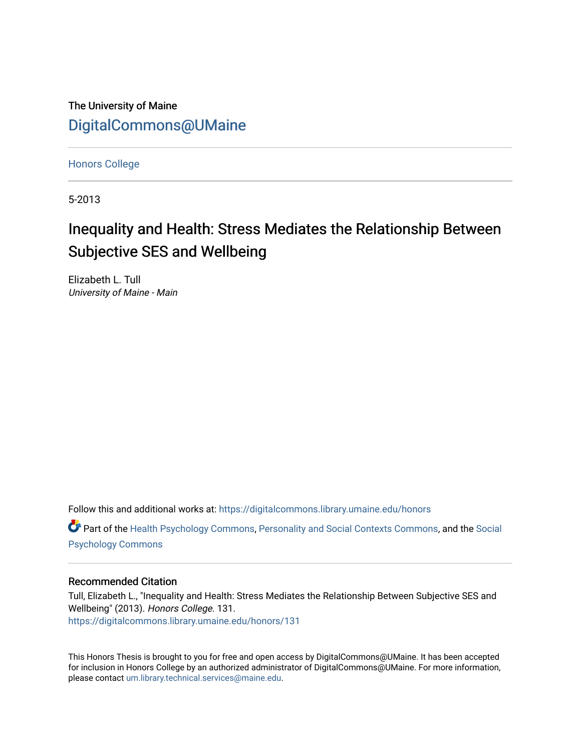The University of Maine [DigitalCommons@UMaine](https://digitalcommons.library.umaine.edu/)

[Honors College](https://digitalcommons.library.umaine.edu/honors)

5-2013

# Inequality and Health: Stress Mediates the Relationship Between Subjective SES and Wellbeing

Elizabeth L. Tull University of Maine - Main

Follow this and additional works at: [https://digitalcommons.library.umaine.edu/honors](https://digitalcommons.library.umaine.edu/honors?utm_source=digitalcommons.library.umaine.edu%2Fhonors%2F131&utm_medium=PDF&utm_campaign=PDFCoverPages) 

Part of the [Health Psychology Commons](http://network.bepress.com/hgg/discipline/411?utm_source=digitalcommons.library.umaine.edu%2Fhonors%2F131&utm_medium=PDF&utm_campaign=PDFCoverPages), [Personality and Social Contexts Commons,](http://network.bepress.com/hgg/discipline/413?utm_source=digitalcommons.library.umaine.edu%2Fhonors%2F131&utm_medium=PDF&utm_campaign=PDFCoverPages) and the [Social](http://network.bepress.com/hgg/discipline/414?utm_source=digitalcommons.library.umaine.edu%2Fhonors%2F131&utm_medium=PDF&utm_campaign=PDFCoverPages) [Psychology Commons](http://network.bepress.com/hgg/discipline/414?utm_source=digitalcommons.library.umaine.edu%2Fhonors%2F131&utm_medium=PDF&utm_campaign=PDFCoverPages) 

# Recommended Citation

Tull, Elizabeth L., "Inequality and Health: Stress Mediates the Relationship Between Subjective SES and Wellbeing" (2013). Honors College. 131. [https://digitalcommons.library.umaine.edu/honors/131](https://digitalcommons.library.umaine.edu/honors/131?utm_source=digitalcommons.library.umaine.edu%2Fhonors%2F131&utm_medium=PDF&utm_campaign=PDFCoverPages) 

This Honors Thesis is brought to you for free and open access by DigitalCommons@UMaine. It has been accepted for inclusion in Honors College by an authorized administrator of DigitalCommons@UMaine. For more information, please contact [um.library.technical.services@maine.edu.](mailto:um.library.technical.services@maine.edu)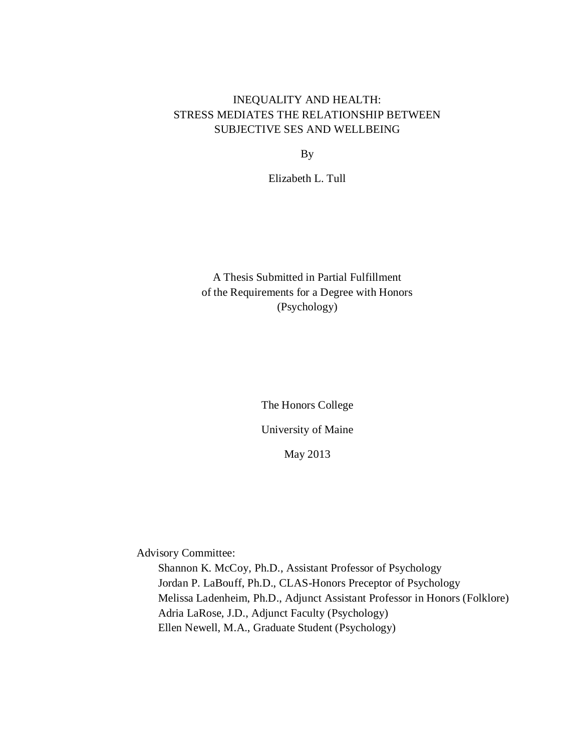# INEQUALITY AND HEALTH: STRESS MEDIATES THE RELATIONSHIP BETWEEN SUBJECTIVE SES AND WELLBEING

By

Elizabeth L. Tull

A Thesis Submitted in Partial Fulfillment of the Requirements for a Degree with Honors (Psychology)

The Honors College

University of Maine

May 2013

Advisory Committee:

Shannon K. McCoy, Ph.D., Assistant Professor of Psychology Jordan P. LaBouff, Ph.D., CLAS-Honors Preceptor of Psychology Melissa Ladenheim, Ph.D., Adjunct Assistant Professor in Honors (Folklore) Adria LaRose, J.D., Adjunct Faculty (Psychology) Ellen Newell, M.A., Graduate Student (Psychology)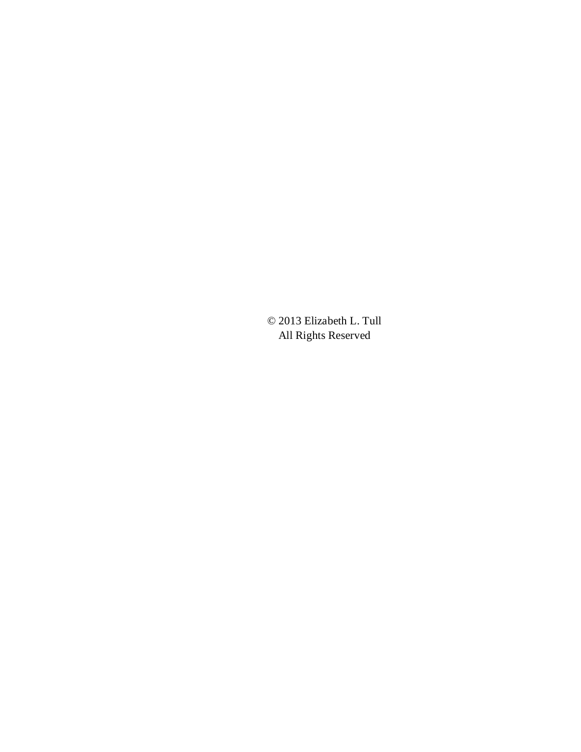© 2013 Elizabeth L. Tull All Rights Reserved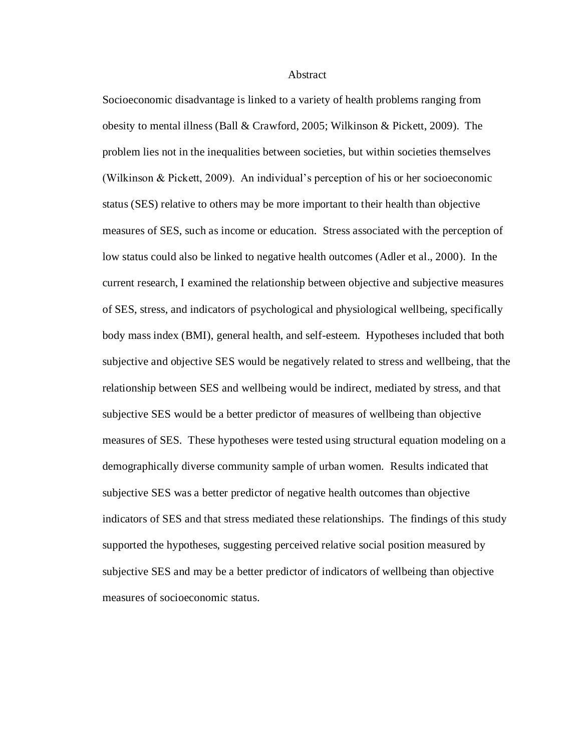#### Abstract

Socioeconomic disadvantage is linked to a variety of health problems ranging from obesity to mental illness (Ball & Crawford, 2005; Wilkinson & Pickett, 2009). The problem lies not in the inequalities between societies, but within societies themselves (Wilkinson & Pickett, 2009). An individual's perception of his or her socioeconomic status (SES) relative to others may be more important to their health than objective measures of SES, such as income or education. Stress associated with the perception of low status could also be linked to negative health outcomes (Adler et al., 2000). In the current research, I examined the relationship between objective and subjective measures of SES, stress, and indicators of psychological and physiological wellbeing, specifically body mass index (BMI), general health, and self-esteem. Hypotheses included that both subjective and objective SES would be negatively related to stress and wellbeing, that the relationship between SES and wellbeing would be indirect, mediated by stress, and that subjective SES would be a better predictor of measures of wellbeing than objective measures of SES. These hypotheses were tested using structural equation modeling on a demographically diverse community sample of urban women. Results indicated that subjective SES was a better predictor of negative health outcomes than objective indicators of SES and that stress mediated these relationships. The findings of this study supported the hypotheses, suggesting perceived relative social position measured by subjective SES and may be a better predictor of indicators of wellbeing than objective measures of socioeconomic status.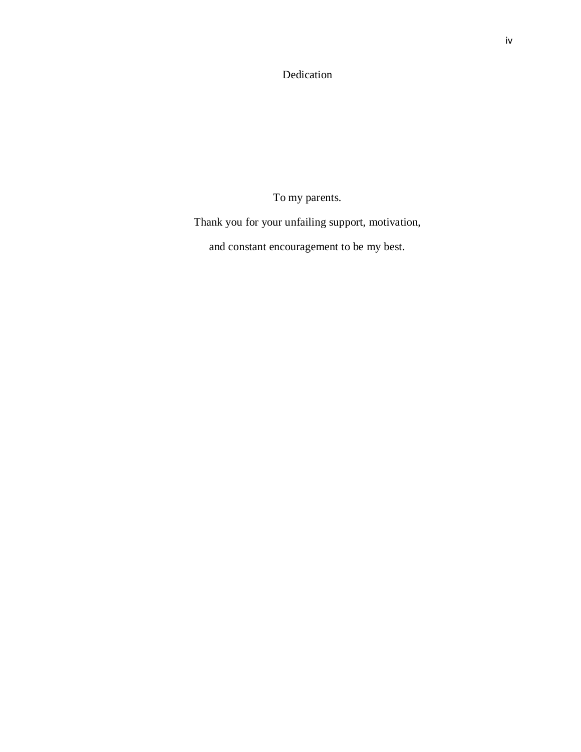Dedication

To my parents.

Thank you for your unfailing support, motivation,

and constant encouragement to be my best.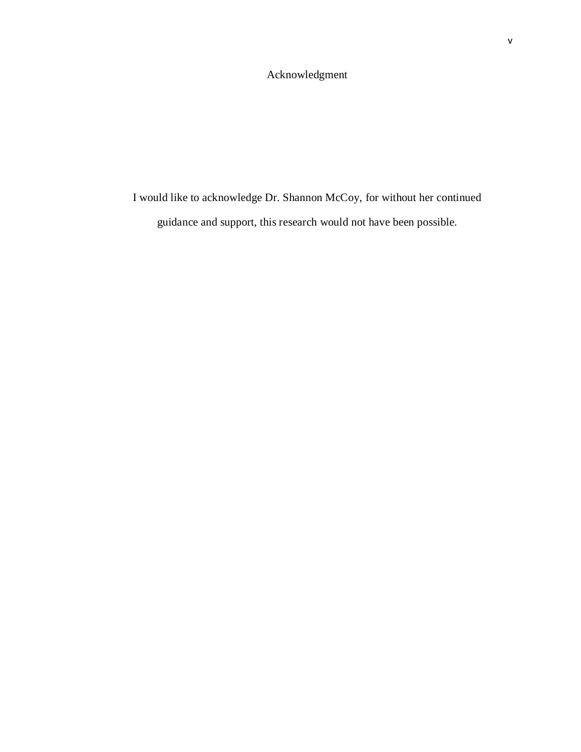# Acknowledgment

I would like to acknowledge Dr. Shannon McCoy, for without her continued guidance and support, this research would not have been possible.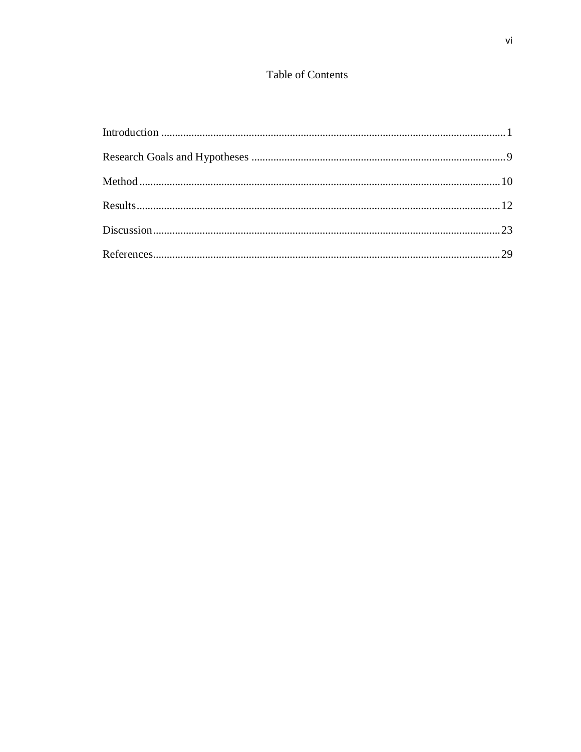# Table of Contents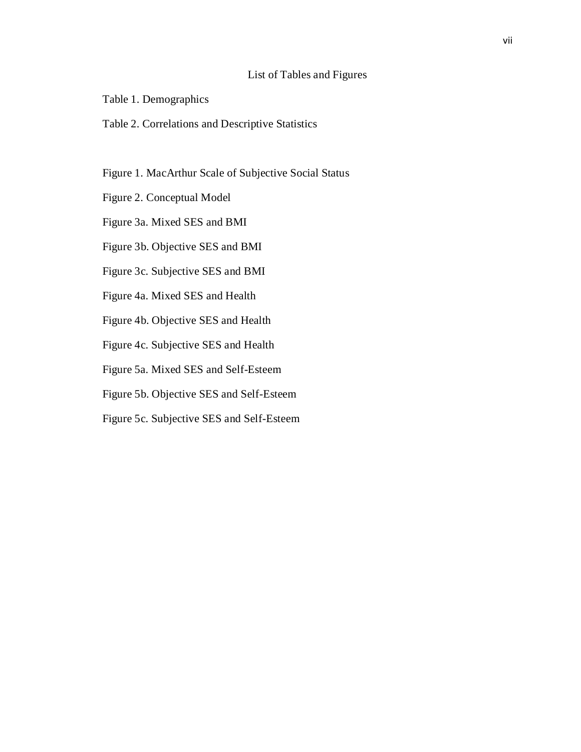# List of Tables and Figures

- Table 1. Demographics
- Table 2. Correlations and Descriptive Statistics
- Figure 1. MacArthur Scale of Subjective Social Status
- Figure 2. Conceptual Model
- Figure 3a. Mixed SES and BMI
- Figure 3b. Objective SES and BMI
- Figure 3c. Subjective SES and BMI
- Figure 4a. Mixed SES and Health
- Figure 4b. Objective SES and Health
- Figure 4c. Subjective SES and Health
- Figure 5a. Mixed SES and Self-Esteem
- Figure 5b. Objective SES and Self-Esteem
- Figure 5c. Subjective SES and Self-Esteem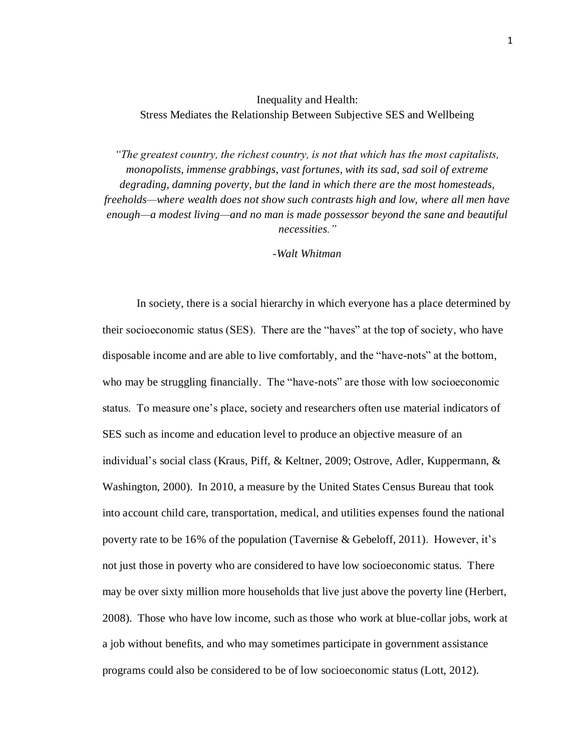# Inequality and Health: Stress Mediates the Relationship Between Subjective SES and Wellbeing

*"The greatest country, the richest country, is not that which has the most capitalists, monopolists, immense grabbings, vast fortunes, with its sad, sad soil of extreme degrading, damning poverty, but the land in which there are the most homesteads, freeholds—where wealth does not show such contrasts high and low, where all men have enough—a modest living—and no man is made possessor beyond the sane and beautiful necessities."*

### *-Walt Whitman*

In society, there is a social hierarchy in which everyone has a place determined by their socioeconomic status (SES). There are the "haves" at the top of society, who have disposable income and are able to live comfortably, and the "have-nots" at the bottom, who may be struggling financially. The "have-nots" are those with low socioeconomic status. To measure one's place, society and researchers often use material indicators of SES such as income and education level to produce an objective measure of an individual's social class (Kraus, Piff, & Keltner, 2009; Ostrove, Adler, Kuppermann, & Washington, 2000). In 2010, a measure by the United States Census Bureau that took into account child care, transportation, medical, and utilities expenses found the national poverty rate to be 16% of the population (Tavernise & Gebeloff, 2011). However, it's not just those in poverty who are considered to have low socioeconomic status. There may be over sixty million more households that live just above the poverty line (Herbert, 2008). Those who have low income, such as those who work at blue-collar jobs, work at a job without benefits, and who may sometimes participate in government assistance programs could also be considered to be of low socioeconomic status (Lott, 2012).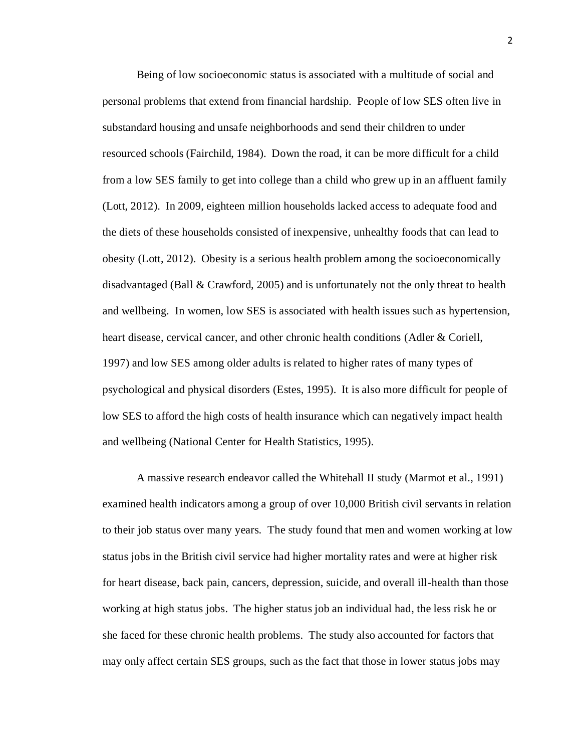Being of low socioeconomic status is associated with a multitude of social and personal problems that extend from financial hardship. People of low SES often live in substandard housing and unsafe neighborhoods and send their children to under resourced schools (Fairchild, 1984). Down the road, it can be more difficult for a child from a low SES family to get into college than a child who grew up in an affluent family (Lott, 2012). In 2009, eighteen million households lacked access to adequate food and the diets of these households consisted of inexpensive, unhealthy foods that can lead to obesity (Lott, 2012). Obesity is a serious health problem among the socioeconomically disadvantaged (Ball & Crawford, 2005) and is unfortunately not the only threat to health and wellbeing. In women, low SES is associated with health issues such as hypertension, heart disease, cervical cancer, and other chronic health conditions (Adler & Coriell, 1997) and low SES among older adults is related to higher rates of many types of psychological and physical disorders (Estes, 1995). It is also more difficult for people of low SES to afford the high costs of health insurance which can negatively impact health and wellbeing (National Center for Health Statistics, 1995).

A massive research endeavor called the Whitehall II study (Marmot et al., 1991) examined health indicators among a group of over 10,000 British civil servants in relation to their job status over many years. The study found that men and women working at low status jobs in the British civil service had higher mortality rates and were at higher risk for heart disease, back pain, cancers, depression, suicide, and overall ill-health than those working at high status jobs. The higher status job an individual had, the less risk he or she faced for these chronic health problems. The study also accounted for factors that may only affect certain SES groups, such as the fact that those in lower status jobs may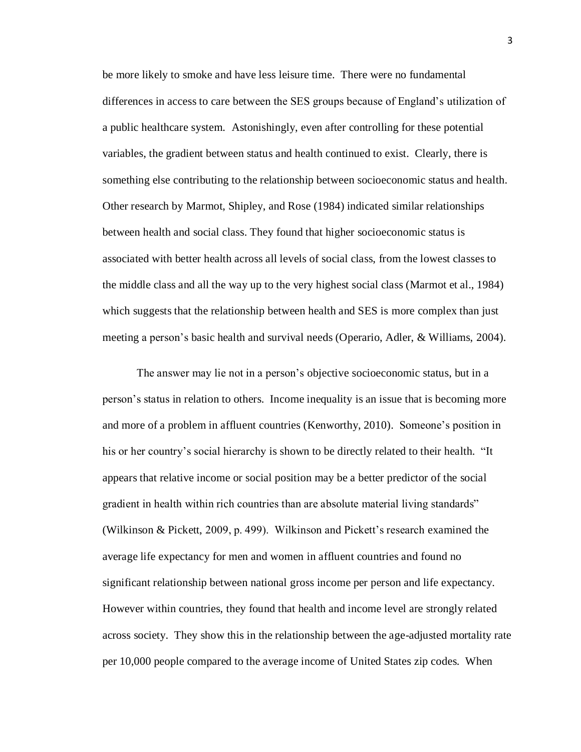be more likely to smoke and have less leisure time. There were no fundamental differences in access to care between the SES groups because of England's utilization of a public healthcare system. Astonishingly, even after controlling for these potential variables, the gradient between status and health continued to exist. Clearly, there is something else contributing to the relationship between socioeconomic status and health. Other research by Marmot, Shipley, and Rose (1984) indicated similar relationships between health and social class. They found that higher socioeconomic status is associated with better health across all levels of social class, from the lowest classes to the middle class and all the way up to the very highest social class (Marmot et al., 1984) which suggests that the relationship between health and SES is more complex than just meeting a person's basic health and survival needs (Operario, Adler, & Williams, 2004).

The answer may lie not in a person's objective socioeconomic status, but in a person's status in relation to others. Income inequality is an issue that is becoming more and more of a problem in affluent countries (Kenworthy, 2010). Someone's position in his or her country's social hierarchy is shown to be directly related to their health. "It appears that relative income or social position may be a better predictor of the social gradient in health within rich countries than are absolute material living standards" (Wilkinson & Pickett, 2009, p. 499). Wilkinson and Pickett's research examined the average life expectancy for men and women in affluent countries and found no significant relationship between national gross income per person and life expectancy. However within countries, they found that health and income level are strongly related across society. They show this in the relationship between the age-adjusted mortality rate per 10,000 people compared to the average income of United States zip codes. When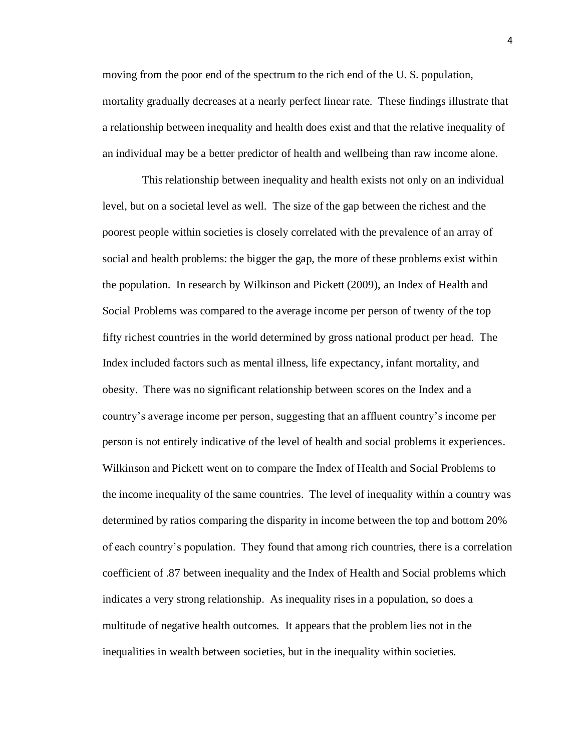moving from the poor end of the spectrum to the rich end of the U. S. population, mortality gradually decreases at a nearly perfect linear rate. These findings illustrate that a relationship between inequality and health does exist and that the relative inequality of an individual may be a better predictor of health and wellbeing than raw income alone.

 This relationship between inequality and health exists not only on an individual level, but on a societal level as well. The size of the gap between the richest and the poorest people within societies is closely correlated with the prevalence of an array of social and health problems: the bigger the gap, the more of these problems exist within the population. In research by Wilkinson and Pickett (2009), an Index of Health and Social Problems was compared to the average income per person of twenty of the top fifty richest countries in the world determined by gross national product per head. The Index included factors such as mental illness, life expectancy, infant mortality, and obesity. There was no significant relationship between scores on the Index and a country's average income per person, suggesting that an affluent country's income per person is not entirely indicative of the level of health and social problems it experiences. Wilkinson and Pickett went on to compare the Index of Health and Social Problems to the income inequality of the same countries. The level of inequality within a country was determined by ratios comparing the disparity in income between the top and bottom 20% of each country's population. They found that among rich countries, there is a correlation coefficient of .87 between inequality and the Index of Health and Social problems which indicates a very strong relationship. As inequality rises in a population, so does a multitude of negative health outcomes. It appears that the problem lies not in the inequalities in wealth between societies, but in the inequality within societies.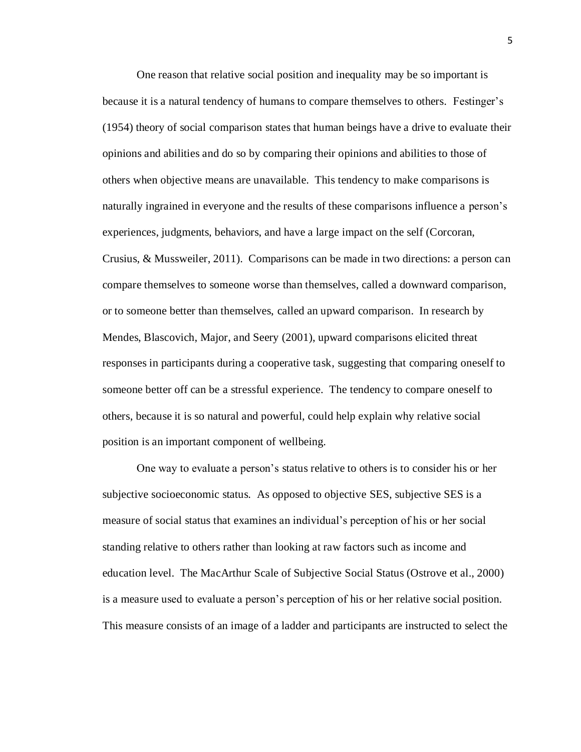One reason that relative social position and inequality may be so important is because it is a natural tendency of humans to compare themselves to others. Festinger's (1954) theory of social comparison states that human beings have a drive to evaluate their opinions and abilities and do so by comparing their opinions and abilities to those of others when objective means are unavailable. This tendency to make comparisons is naturally ingrained in everyone and the results of these comparisons influence a person's experiences, judgments, behaviors, and have a large impact on the self (Corcoran, Crusius, & Mussweiler, 2011). Comparisons can be made in two directions: a person can compare themselves to someone worse than themselves, called a downward comparison, or to someone better than themselves, called an upward comparison. In research by Mendes, Blascovich, Major, and Seery (2001), upward comparisons elicited threat responses in participants during a cooperative task, suggesting that comparing oneself to someone better off can be a stressful experience. The tendency to compare oneself to others, because it is so natural and powerful, could help explain why relative social position is an important component of wellbeing.

One way to evaluate a person's status relative to others is to consider his or her subjective socioeconomic status. As opposed to objective SES, subjective SES is a measure of social status that examines an individual's perception of his or her social standing relative to others rather than looking at raw factors such as income and education level. The MacArthur Scale of Subjective Social Status (Ostrove et al., 2000) is a measure used to evaluate a person's perception of his or her relative social position. This measure consists of an image of a ladder and participants are instructed to select the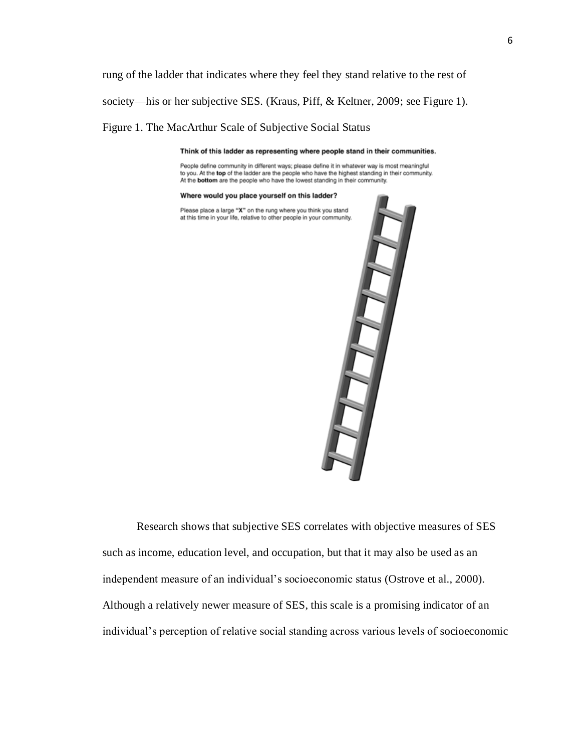rung of the ladder that indicates where they feel they stand relative to the rest of society—his or her subjective SES. (Kraus, Piff, & Keltner, 2009; see Figure 1).

Figure 1. The MacArthur Scale of Subjective Social Status

Think of this ladder as representing where people stand in their communities.

People define community in different ways; please define it in whatever way is most meaningful to you. At the top of the ladder are the people who have the highest standing in their community. At the bottom are the people who have the lowest standing in their community.

Where would you place yourself on this ladder?

Please place a large "X" on the rung where you think you stand at this time in your life, relative to other people in your community.



Research shows that subjective SES correlates with objective measures of SES such as income, education level, and occupation, but that it may also be used as an independent measure of an individual's socioeconomic status (Ostrove et al., 2000). Although a relatively newer measure of SES, this scale is a promising indicator of an individual's perception of relative social standing across various levels of socioeconomic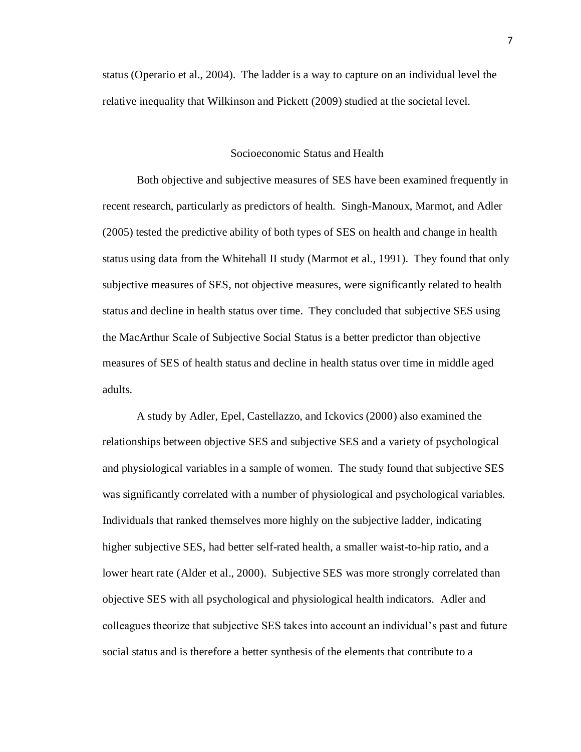status (Operario et al., 2004). The ladder is a way to capture on an individual level the relative inequality that Wilkinson and Pickett (2009) studied at the societal level.

### Socioeconomic Status and Health

Both objective and subjective measures of SES have been examined frequently in recent research, particularly as predictors of health. Singh-Manoux, Marmot, and Adler (2005) tested the predictive ability of both types of SES on health and change in health status using data from the Whitehall II study (Marmot et al., 1991). They found that only subjective measures of SES, not objective measures, were significantly related to health status and decline in health status over time. They concluded that subjective SES using the MacArthur Scale of Subjective Social Status is a better predictor than objective measures of SES of health status and decline in health status over time in middle aged adults.

A study by Adler, Epel, Castellazzo, and Ickovics (2000) also examined the relationships between objective SES and subjective SES and a variety of psychological and physiological variables in a sample of women. The study found that subjective SES was significantly correlated with a number of physiological and psychological variables. Individuals that ranked themselves more highly on the subjective ladder, indicating higher subjective SES, had better self-rated health, a smaller waist-to-hip ratio, and a lower heart rate (Alder et al., 2000). Subjective SES was more strongly correlated than objective SES with all psychological and physiological health indicators. Adler and colleagues theorize that subjective SES takes into account an individual's past and future social status and is therefore a better synthesis of the elements that contribute to a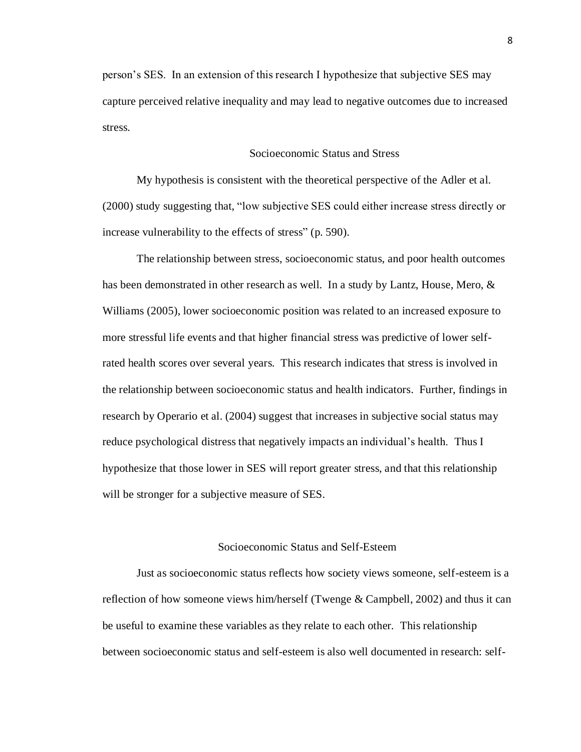person's SES. In an extension of this research I hypothesize that subjective SES may capture perceived relative inequality and may lead to negative outcomes due to increased stress.

# Socioeconomic Status and Stress

My hypothesis is consistent with the theoretical perspective of the Adler et al. (2000) study suggesting that, "low subjective SES could either increase stress directly or increase vulnerability to the effects of stress" (p. 590).

The relationship between stress, socioeconomic status, and poor health outcomes has been demonstrated in other research as well. In a study by Lantz, House, Mero, & Williams (2005), lower socioeconomic position was related to an increased exposure to more stressful life events and that higher financial stress was predictive of lower selfrated health scores over several years. This research indicates that stress is involved in the relationship between socioeconomic status and health indicators. Further, findings in research by Operario et al. (2004) suggest that increases in subjective social status may reduce psychological distress that negatively impacts an individual's health. Thus I hypothesize that those lower in SES will report greater stress, and that this relationship will be stronger for a subjective measure of SES.

# Socioeconomic Status and Self-Esteem

Just as socioeconomic status reflects how society views someone, self-esteem is a reflection of how someone views him/herself (Twenge & Campbell, 2002) and thus it can be useful to examine these variables as they relate to each other. This relationship between socioeconomic status and self-esteem is also well documented in research: self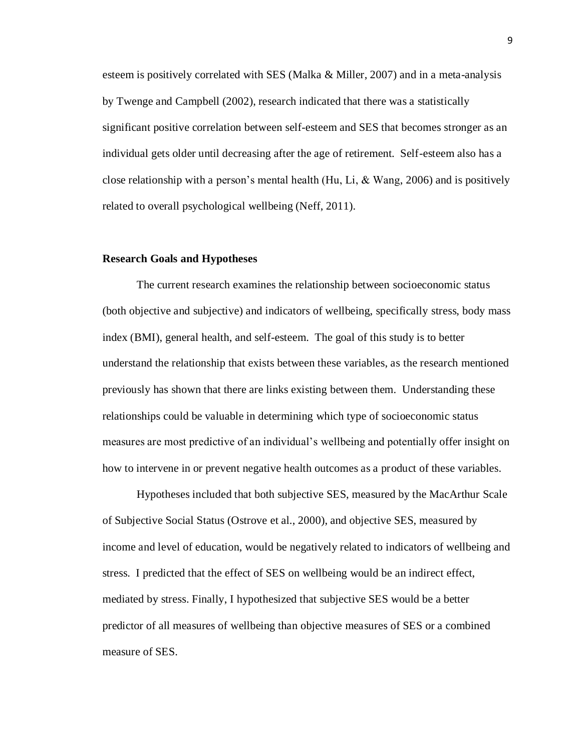esteem is positively correlated with SES (Malka & Miller, 2007) and in a meta-analysis by Twenge and Campbell (2002), research indicated that there was a statistically significant positive correlation between self-esteem and SES that becomes stronger as an individual gets older until decreasing after the age of retirement. Self-esteem also has a close relationship with a person's mental health (Hu, Li,  $&$  Wang, 2006) and is positively related to overall psychological wellbeing (Neff, 2011).

#### **Research Goals and Hypotheses**

The current research examines the relationship between socioeconomic status (both objective and subjective) and indicators of wellbeing, specifically stress, body mass index (BMI), general health, and self-esteem. The goal of this study is to better understand the relationship that exists between these variables, as the research mentioned previously has shown that there are links existing between them. Understanding these relationships could be valuable in determining which type of socioeconomic status measures are most predictive of an individual's wellbeing and potentially offer insight on how to intervene in or prevent negative health outcomes as a product of these variables.

Hypotheses included that both subjective SES, measured by the MacArthur Scale of Subjective Social Status (Ostrove et al., 2000), and objective SES, measured by income and level of education, would be negatively related to indicators of wellbeing and stress. I predicted that the effect of SES on wellbeing would be an indirect effect, mediated by stress. Finally, I hypothesized that subjective SES would be a better predictor of all measures of wellbeing than objective measures of SES or a combined measure of SES.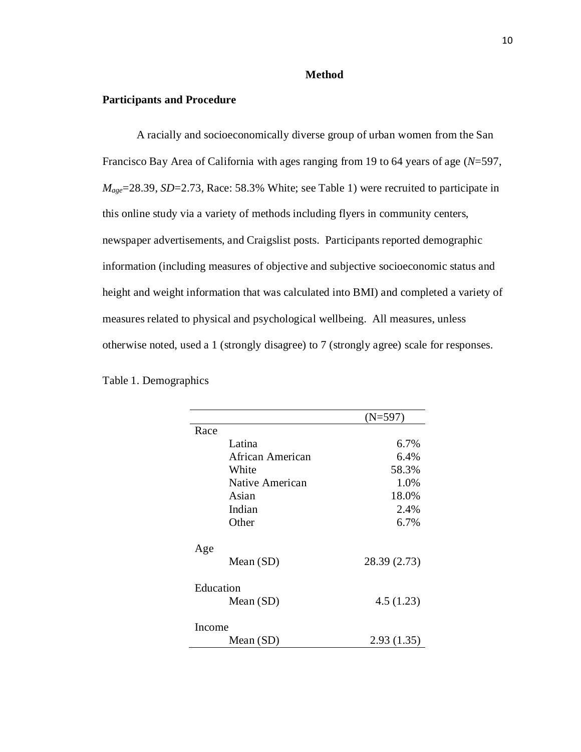#### **Method**

#### **Participants and Procedure**

A racially and socioeconomically diverse group of urban women from the San Francisco Bay Area of California with ages ranging from 19 to 64 years of age (*N*=597, *Mage*=28.39, *SD*=2.73, Race: 58.3% White; see Table 1) were recruited to participate in this online study via a variety of methods including flyers in community centers, newspaper advertisements, and Craigslist posts. Participants reported demographic information (including measures of objective and subjective socioeconomic status and height and weight information that was calculated into BMI) and completed a variety of measures related to physical and psychological wellbeing. All measures, unless otherwise noted, used a 1 (strongly disagree) to 7 (strongly agree) scale for responses.

|                  | (N=597)      |  |  |
|------------------|--------------|--|--|
| Race             |              |  |  |
| Latina           | 6.7%         |  |  |
| African American | 6.4%         |  |  |
| White            | 58.3%        |  |  |
| Native American  | 1.0%         |  |  |
| Asian            | 18.0%        |  |  |
| Indian           | 2.4%         |  |  |
| Other            | 6.7%         |  |  |
| Age              |              |  |  |
| Mean (SD)        | 28.39 (2.73) |  |  |
| Education        |              |  |  |
| Mean $(SD)$      | 4.5(1.23)    |  |  |
| Income           |              |  |  |
| Mean (SD)        | 2.93(1.35)   |  |  |

Table 1. Demographics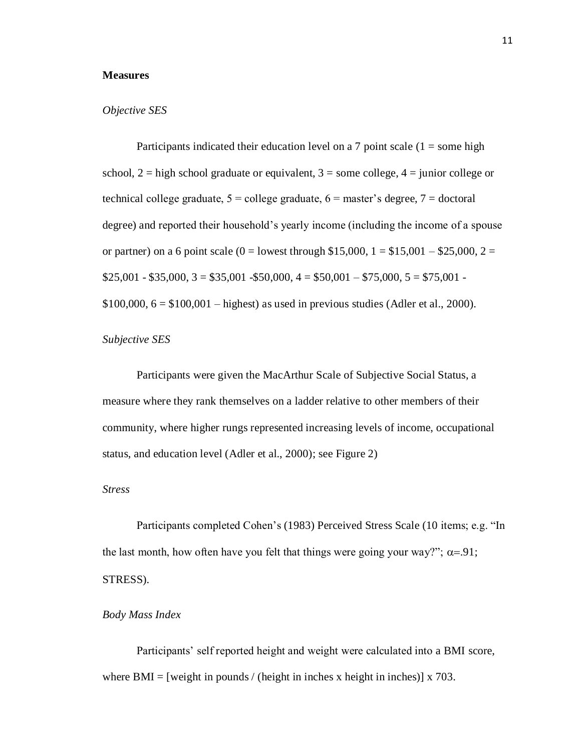# **Measures**

#### *Objective SES*

Participants indicated their education level on a 7 point scale  $(1 =$ some high school,  $2 =$  high school graduate or equivalent,  $3 =$  some college,  $4 =$  junior college or technical college graduate,  $5 =$  college graduate,  $6 =$  master's degree,  $7 =$  doctoral degree) and reported their household's yearly income (including the income of a spouse or partner) on a 6 point scale (0 = lowest through \$15,000,  $1 = $15,001 - $25,000$ ,  $2 =$  $$25,001 - $35,000, 3 = $35,001 - $50,000, 4 = $50,001 - $75,000, 5 = $75,001 $100,000, 6 = $100,001 - highest)$  as used in previous studies (Adler et al., 2000).

# *Subjective SES*

Participants were given the MacArthur Scale of Subjective Social Status, a measure where they rank themselves on a ladder relative to other members of their community, where higher rungs represented increasing levels of income, occupational status, and education level (Adler et al., 2000); see Figure 2)

#### *Stress*

Participants completed Cohen's (1983) Perceived Stress Scale (10 items; e.g. "In the last month, how often have you felt that things were going your way?";  $\alpha = .91$ ; STRESS).

#### *Body Mass Index*

Participants' self reported height and weight were calculated into a BMI score, where BMI = [weight in pounds / (height in inches x height in inches)]  $\bar{x}$  703.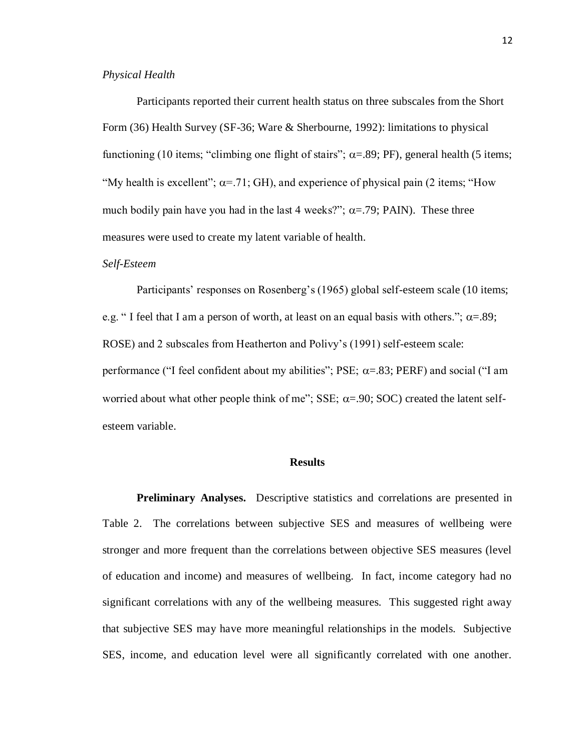# *Physical Health*

Participants reported their current health status on three subscales from the Short Form (36) Health Survey (SF-36; Ware & Sherbourne, 1992): limitations to physical functioning (10 items; "climbing one flight of stairs";  $\alpha$ =.89; PF), general health (5 items; "My health is excellent";  $\alpha$ =.71; GH), and experience of physical pain (2 items; "How much bodily pain have you had in the last 4 weeks?";  $\alpha = .79$ ; PAIN). These three measures were used to create my latent variable of health.

# *Self-Esteem*

Participants' responses on Rosenberg's (1965) global self-esteem scale (10 items; e.g. " I feel that I am a person of worth, at least on an equal basis with others.";  $\alpha = .89$ ; ROSE) and 2 subscales from Heatherton and Polivy's (1991) self-esteem scale: performance ("I feel confident about my abilities"; PSE;  $\alpha$ =.83; PERF) and social ("I am worried about what other people think of me"; SSE;  $\alpha$ =.90; SOC) created the latent selfesteem variable.

### **Results**

**Preliminary Analyses.** Descriptive statistics and correlations are presented in Table 2. The correlations between subjective SES and measures of wellbeing were stronger and more frequent than the correlations between objective SES measures (level of education and income) and measures of wellbeing. In fact, income category had no significant correlations with any of the wellbeing measures. This suggested right away that subjective SES may have more meaningful relationships in the models. Subjective SES, income, and education level were all significantly correlated with one another.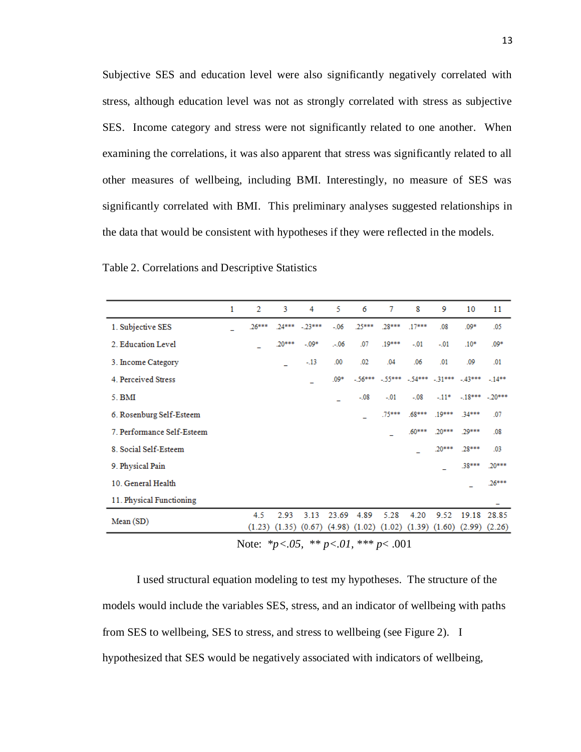Subjective SES and education level were also significantly negatively correlated with stress, although education level was not as strongly correlated with stress as subjective SES. Income category and stress were not significantly related to one another. When examining the correlations, it was also apparent that stress was significantly related to all other measures of wellbeing, including BMI. Interestingly, no measure of SES was significantly correlated with BMI. This preliminary analyses suggested relationships in the data that would be consistent with hypotheses if they were reflected in the models.

|                                                                                                           | 1 | 2        | 3        | 4        | 5      | 6      | 7        | 8                                            | 9        | 10                                                                                        | 11          |
|-----------------------------------------------------------------------------------------------------------|---|----------|----------|----------|--------|--------|----------|----------------------------------------------|----------|-------------------------------------------------------------------------------------------|-------------|
| 1. Subjective SES                                                                                         |   | $.26***$ | $.24***$ | $-23***$ | $-.06$ | .25*** | .28***   | $.17***$                                     | .08      | $.09*$                                                                                    | .05         |
| 2. Education Level                                                                                        |   |          | .20***   | $-.09*$  | $-.06$ | .07    | .19***   | $-01$                                        | $-.01$   | $.10*$                                                                                    | $.09*$      |
| 3. Income Category                                                                                        |   |          |          | $-13$    | .00.   | .02    | .04      | .06                                          | .01      | .09                                                                                       | .01         |
| 4. Perceived Stress                                                                                       |   |          |          |          | $.09*$ |        |          | $-56***$ $-55***$ $-54***$ $-31***$ $-43***$ |          |                                                                                           | $-14**$     |
| 5. <b>BMI</b>                                                                                             |   |          |          |          |        | $-.08$ | $-01$    | $-.08$                                       | $-11*$   | $-18***$ $-20***$                                                                         |             |
| 6. Rosenburg Self-Esteem                                                                                  |   |          |          |          |        |        | $.75***$ | $.68***$                                     | $.19***$ | 34***                                                                                     | .07         |
| 7. Performance Self-Esteem                                                                                |   |          |          |          |        |        |          | $.60***$                                     | 20***    | 20***                                                                                     | .08         |
| 8. Social Self-Esteem                                                                                     |   |          |          |          |        |        |          |                                              | $.20***$ | $28***$                                                                                   | .03         |
| 9. Physical Pain                                                                                          |   |          |          |          |        |        |          |                                              |          | .38***                                                                                    | $.20***$    |
| 10. General Health                                                                                        |   |          |          |          |        |        |          |                                              |          |                                                                                           | 26***       |
| 11. Physical Functioning                                                                                  |   |          |          |          |        |        |          |                                              |          |                                                                                           |             |
| Mean (SD)                                                                                                 |   | 4.5      | 2.93     | 3.13     | 23.69  | 4.89   | 5.28     | 4.20                                         | 9.52     | $(1.23)$ $(1.35)$ $(0.67)$ $(4.98)$ $(1.02)$ $(1.02)$ $(1.39)$ $(1.60)$ $(2.99)$ $(2.26)$ | 19.18 28.85 |
| $\mathbf{M}$ $\mathbf{v}$ $\mathbf{v}$ $\mathbf{v}$<br>$\psi \psi = 0.7$ , $\psi \psi \psi$<br>$\sim$ 001 |   |          |          |          |        |        |          |                                              |          |                                                                                           |             |

Table 2. Correlations and Descriptive Statistics

Note: \**p<.05,* \*\* *p<.01,* \*\*\* *p*< .001

I used structural equation modeling to test my hypotheses. The structure of the models would include the variables SES, stress, and an indicator of wellbeing with paths from SES to wellbeing, SES to stress, and stress to wellbeing (see Figure 2). I hypothesized that SES would be negatively associated with indicators of wellbeing,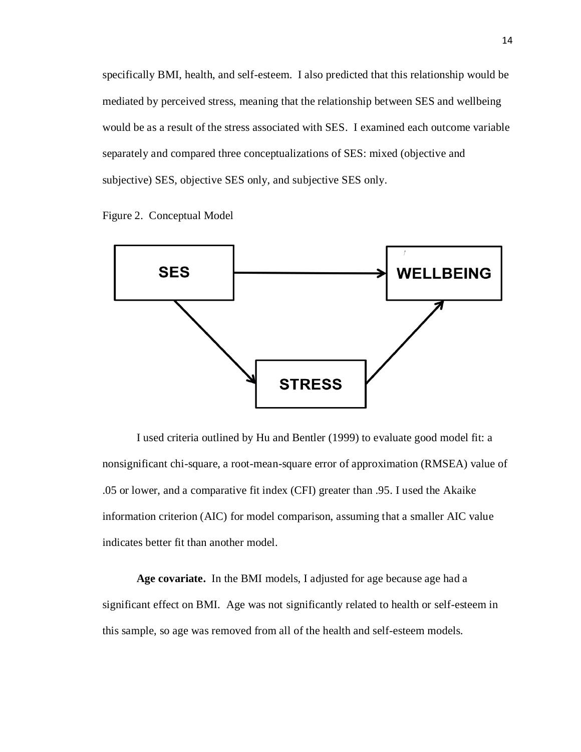specifically BMI, health, and self-esteem. I also predicted that this relationship would be mediated by perceived stress, meaning that the relationship between SES and wellbeing would be as a result of the stress associated with SES. I examined each outcome variable separately and compared three conceptualizations of SES: mixed (objective and subjective) SES, objective SES only, and subjective SES only.





I used criteria outlined by Hu and Bentler (1999) to evaluate good model fit: a nonsignificant chi-square, a root-mean-square error of approximation (RMSEA) value of .05 or lower, and a comparative fit index (CFI) greater than .95. I used the Akaike information criterion (AIC) for model comparison, assuming that a smaller AIC value indicates better fit than another model.

**Age covariate.** In the BMI models, I adjusted for age because age had a significant effect on BMI. Age was not significantly related to health or self-esteem in this sample, so age was removed from all of the health and self-esteem models.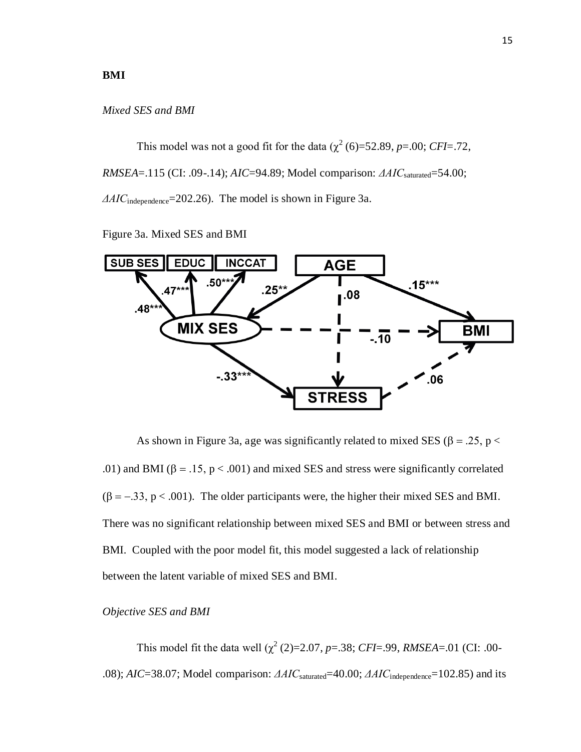# **BMI**

#### *Mixed SES and BMI*

This model was not a good fit for the data  $(\chi^2(6)=52.89, p=.00; CFI=.72,$ *RMSEA*=.115 (CI: .09-.14); *AIC*=94.89; Model comparison: *ΔAIC*saturated=54.00; *ΔAIC*independence=202.26). The model is shown in Figure 3a.

Figure 3a. Mixed SES and BMI



As shown in Figure 3a, age was significantly related to mixed SES ( $\beta = .25$ ,  $p <$ .01) and BMI ( $\beta = .15$ ,  $p < .001$ ) and mixed SES and stress were significantly correlated  $(\beta = -.33, p < .001)$ . The older participants were, the higher their mixed SES and BMI. There was no significant relationship between mixed SES and BMI or between stress and BMI. Coupled with the poor model fit, this model suggested a lack of relationship between the latent variable of mixed SES and BMI.

#### *Objective SES and BMI*

This model fit the data well  $(\chi^2(2)=2.07, p=.38; CFI=.99, RMSEA=.01$  (CI: .00-.08); *AIC*=38.07; Model comparison: *ΔAIC*saturated=40.00; *ΔAIC*independence=102.85) and its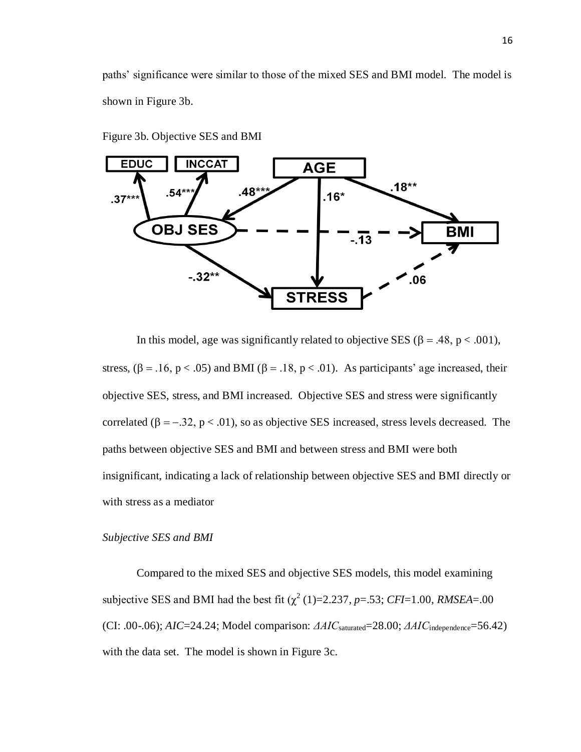paths' significance were similar to those of the mixed SES and BMI model. The model is shown in Figure 3b.



Figure 3b. Objective SES and BMI

In this model, age was significantly related to objective SES ( $\beta = .48$ ,  $p < .001$ ), stress,  $(\beta = .16, p < .05)$  and BMI ( $\beta = .18, p < .01$ ). As participants' age increased, their objective SES, stress, and BMI increased. Objective SES and stress were significantly correlated ( $\beta = -0.32$ ,  $p < 0.01$ ), so as objective SES increased, stress levels decreased. The paths between objective SES and BMI and between stress and BMI were both insignificant, indicating a lack of relationship between objective SES and BMI directly or with stress as a mediator

*Subjective SES and BMI*

Compared to the mixed SES and objective SES models, this model examining subjective SES and BMI had the best fit  $(\chi^2(1)=2.237, p=.53; CFI=1.00, RMSEA=.00)$ (CI: .00-.06); *AIC*=24.24; Model comparison: *ΔAIC*saturated=28.00; *ΔAIC*independence=56.42) with the data set. The model is shown in Figure 3c.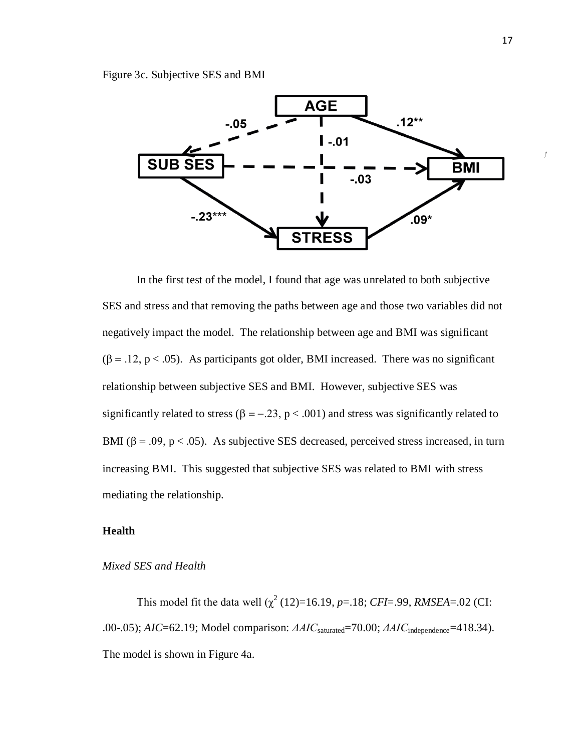Figure 3c. Subjective SES and BMI



In the first test of the model, I found that age was unrelated to both subjective SES and stress and that removing the paths between age and those two variables did not negatively impact the model. The relationship between age and BMI was significant  $(\beta = .12, p < .05)$ . As participants got older, BMI increased. There was no significant relationship between subjective SES and BMI. However, subjective SES was significantly related to stress ( $\beta = -0.23$ ,  $p < .001$ ) and stress was significantly related to BMI ( $\beta$  = .09,  $p$  < .05). As subjective SES decreased, perceived stress increased, in turn increasing BMI. This suggested that subjective SES was related to BMI with stress mediating the relationship.

# **Health**

*Mixed SES and Health*

This model fit the data well  $(\chi^2(12)=16.19, p=.18; CFI=.99, RMSEA=.02$  (CI: .00-.05); *AIC*=62.19; Model comparison: *ΔAIC*saturated=70.00; *ΔAIC*independence=418.34). The model is shown in Figure 4a.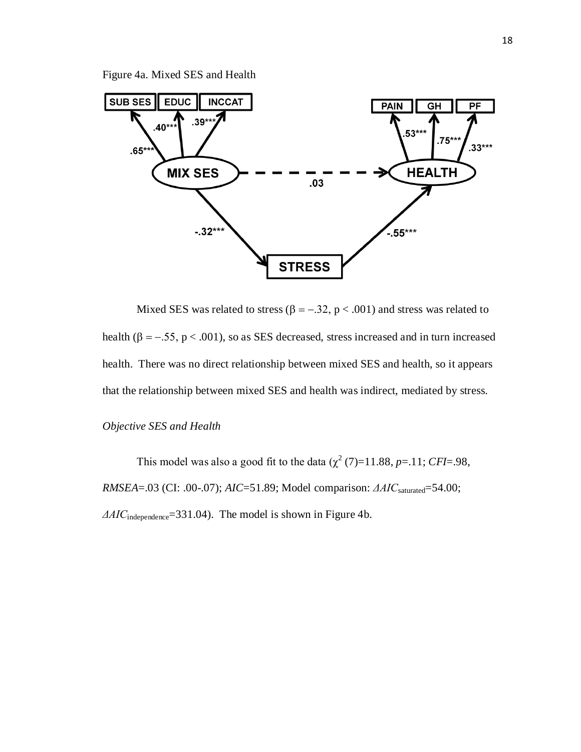Figure 4a. Mixed SES and Health



Mixed SES was related to stress ( $\beta = -.32$ ,  $p < .001$ ) and stress was related to health ( $\beta = -.55$ ,  $p < .001$ ), so as SES decreased, stress increased and in turn increased health. There was no direct relationship between mixed SES and health, so it appears that the relationship between mixed SES and health was indirect, mediated by stress.

*Objective SES and Health*

This model was also a good fit to the data  $(\chi^2(7)=11.88, p=.11; CFI=.98,$ *RMSEA*=.03 (CI: .00-.07); *AIC*=51.89; Model comparison: *ΔAIC*saturated=54.00; *ΔAIC*<sub>independence</sub>=331.04). The model is shown in Figure 4b.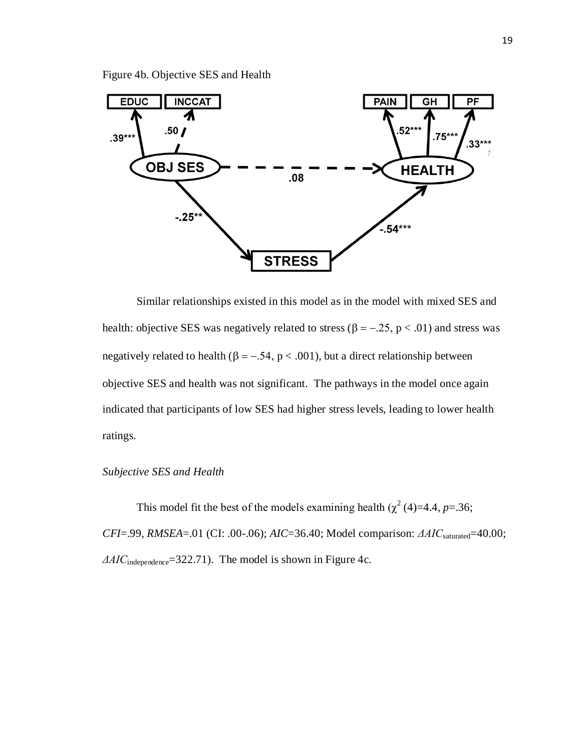Figure 4b. Objective SES and Health



Similar relationships existed in this model as in the model with mixed SES and health: objective SES was negatively related to stress ( $\beta = -0.25$ ,  $p < 0.01$ ) and stress was negatively related to health ( $\beta = -.54$ ,  $p < .001$ ), but a direct relationship between objective SES and health was not significant. The pathways in the model once again indicated that participants of low SES had higher stress levels, leading to lower health ratings.

# *Subjective SES and Health*

This model fit the best of the models examining health  $(\chi^2(4)=4.4, p=.36;$ *CFI*=.99, *RMSEA*=.01 (CI: .00-.06); *AIC*=36.40; Model comparison: *ΔAIC*saturated=40.00; *ΔAIC*independence=322.71). The model is shown in Figure 4c.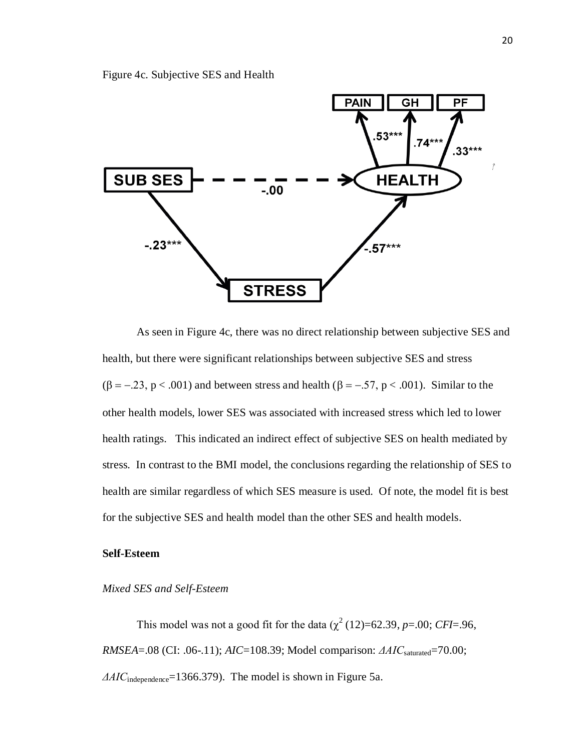Figure 4c. Subjective SES and Health



As seen in Figure 4c, there was no direct relationship between subjective SES and health, but there were significant relationships between subjective SES and stress  $(\beta = -.23, p < .001)$  and between stress and health  $(\beta = -.57, p < .001)$ . Similar to the other health models, lower SES was associated with increased stress which led to lower health ratings. This indicated an indirect effect of subjective SES on health mediated by stress. In contrast to the BMI model, the conclusions regarding the relationship of SES to health are similar regardless of which SES measure is used. Of note, the model fit is best for the subjective SES and health model than the other SES and health models.

# **Self-Esteem**

#### *Mixed SES and Self-Esteem*

This model was not a good fit for the data  $(\chi^2(12)=62.39, p=.00; CFI=.96,$ *RMSEA*=.08 (CI: .06-.11); *AIC*=108.39; Model comparison: *ΔAIC*saturated=70.00; *ΔAIC*independence=1366.379). The model is shown in Figure 5a.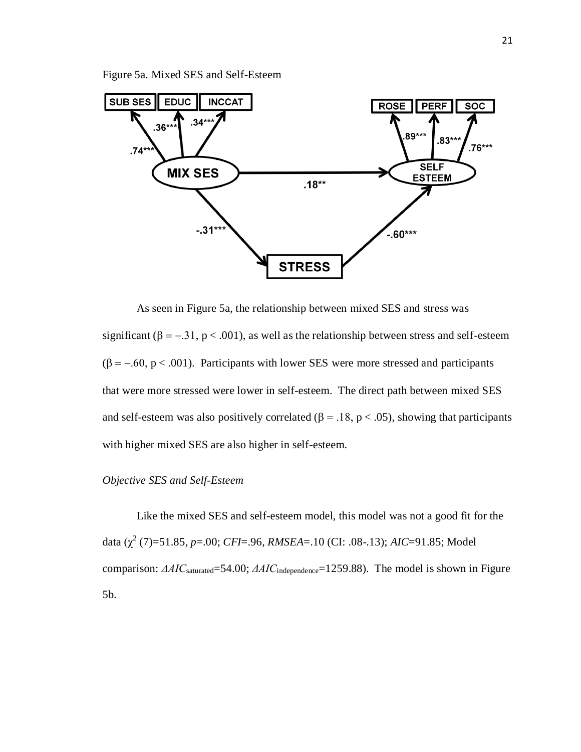Figure 5a. Mixed SES and Self-Esteem



As seen in Figure 5a, the relationship between mixed SES and stress was significant ( $\beta = -0.31$ ,  $p < .001$ ), as well as the relationship between stress and self-esteem  $(\beta = -.60, p < .001)$ . Participants with lower SES were more stressed and participants that were more stressed were lower in self-esteem. The direct path between mixed SES and self-esteem was also positively correlated ( $\beta = .18$ ,  $p < .05$ ), showing that participants with higher mixed SES are also higher in self-esteem.

# *Objective SES and Self-Esteem*

Like the mixed SES and self-esteem model, this model was not a good fit for the data (χ<sup>2</sup> (7)=51.85, *p*=.00; *CFI*=.96, *RMSEA*=.10 (CI: .08-.13); *AIC*=91.85; Model comparison: *ΔAIC*saturated=54.00; *ΔAIC*independence=1259.88). The model is shown in Figure 5b.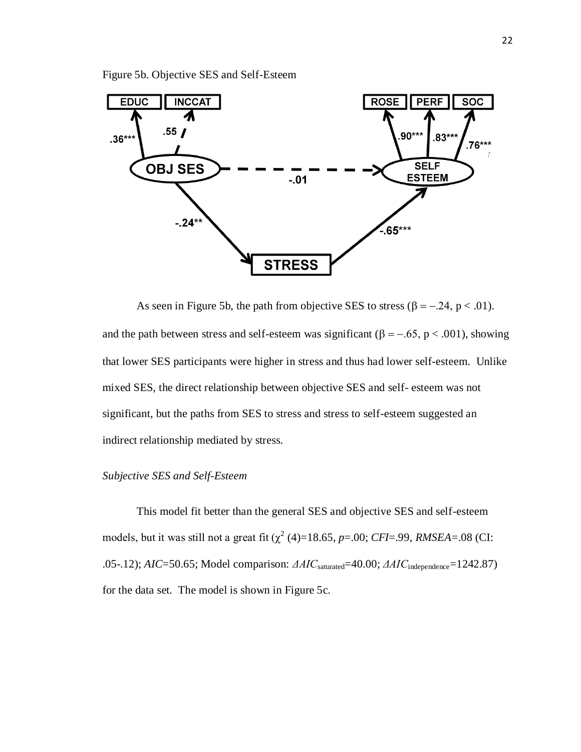Figure 5b. Objective SES and Self-Esteem



As seen in Figure 5b, the path from objective SES to stress ( $\beta = -0.24$ ,  $p < 0.01$ ). and the path between stress and self-esteem was significant ( $\beta = -0.65$ ,  $p < 0.001$ ), showing that lower SES participants were higher in stress and thus had lower self-esteem. Unlike mixed SES, the direct relationship between objective SES and self- esteem was not significant, but the paths from SES to stress and stress to self-esteem suggested an indirect relationship mediated by stress.

# *Subjective SES and Self-Esteem*

This model fit better than the general SES and objective SES and self-esteem models, but it was still not a great fit  $(\chi^2(4)=18.65, p=.00; CFI=.99, RMSEA=.08$  (CI: .05-.12); *AIC*=50.65; Model comparison: *ΔAIC*saturated=40.00; *ΔAIC*independence=1242.87) for the data set. The model is shown in Figure 5c.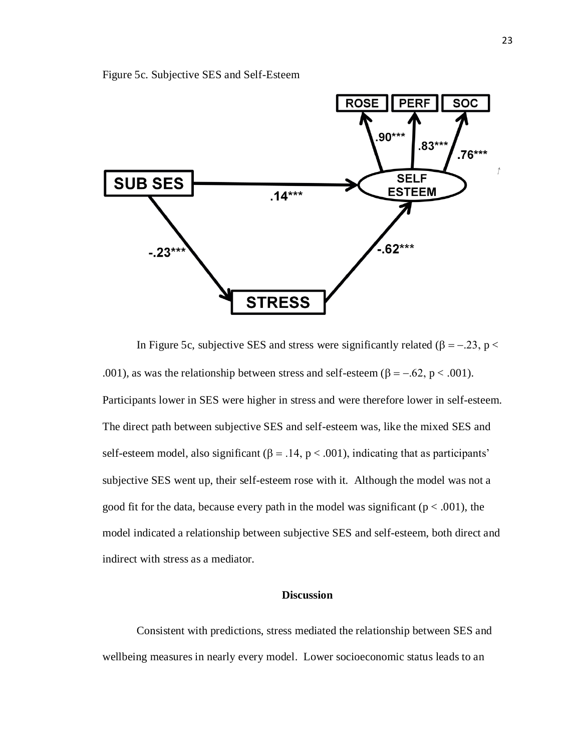



In Figure 5c, subjective SES and stress were significantly related ( $\beta = -0.23$ ,  $p <$ .001), as was the relationship between stress and self-esteem ( $\beta = -.62$ ,  $p < .001$ ). Participants lower in SES were higher in stress and were therefore lower in self-esteem. The direct path between subjective SES and self-esteem was, like the mixed SES and self-esteem model, also significant ( $\beta = .14$ ,  $p < .001$ ), indicating that as participants' subjective SES went up, their self-esteem rose with it. Although the model was not a good fit for the data, because every path in the model was significant ( $p < .001$ ), the model indicated a relationship between subjective SES and self-esteem, both direct and indirect with stress as a mediator.

# **Discussion**

Consistent with predictions, stress mediated the relationship between SES and wellbeing measures in nearly every model. Lower socioeconomic status leads to an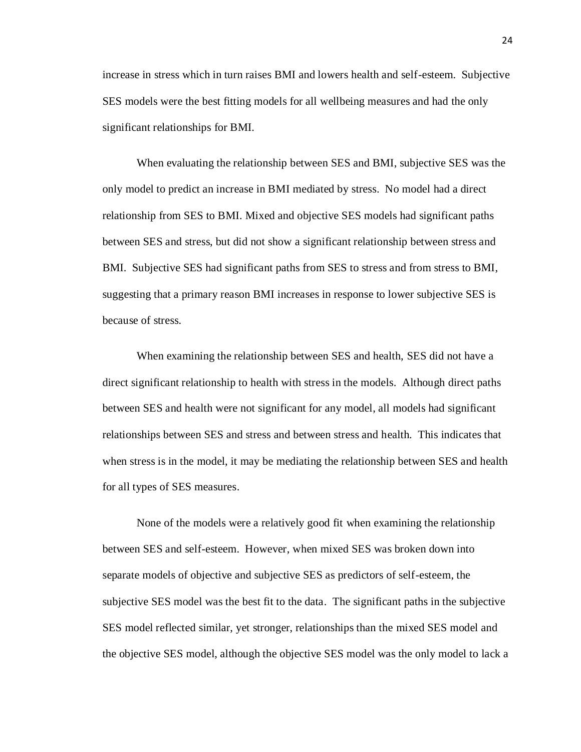increase in stress which in turn raises BMI and lowers health and self-esteem. Subjective SES models were the best fitting models for all wellbeing measures and had the only significant relationships for BMI.

When evaluating the relationship between SES and BMI, subjective SES was the only model to predict an increase in BMI mediated by stress. No model had a direct relationship from SES to BMI. Mixed and objective SES models had significant paths between SES and stress, but did not show a significant relationship between stress and BMI. Subjective SES had significant paths from SES to stress and from stress to BMI, suggesting that a primary reason BMI increases in response to lower subjective SES is because of stress.

When examining the relationship between SES and health, SES did not have a direct significant relationship to health with stress in the models. Although direct paths between SES and health were not significant for any model, all models had significant relationships between SES and stress and between stress and health. This indicates that when stress is in the model, it may be mediating the relationship between SES and health for all types of SES measures.

None of the models were a relatively good fit when examining the relationship between SES and self-esteem. However, when mixed SES was broken down into separate models of objective and subjective SES as predictors of self-esteem, the subjective SES model was the best fit to the data. The significant paths in the subjective SES model reflected similar, yet stronger, relationships than the mixed SES model and the objective SES model, although the objective SES model was the only model to lack a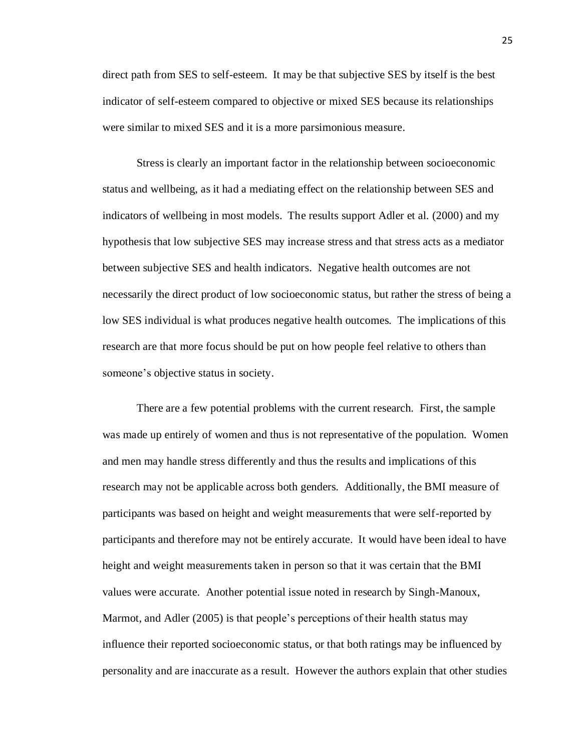direct path from SES to self-esteem. It may be that subjective SES by itself is the best indicator of self-esteem compared to objective or mixed SES because its relationships were similar to mixed SES and it is a more parsimonious measure.

Stress is clearly an important factor in the relationship between socioeconomic status and wellbeing, as it had a mediating effect on the relationship between SES and indicators of wellbeing in most models. The results support Adler et al. (2000) and my hypothesis that low subjective SES may increase stress and that stress acts as a mediator between subjective SES and health indicators. Negative health outcomes are not necessarily the direct product of low socioeconomic status, but rather the stress of being a low SES individual is what produces negative health outcomes. The implications of this research are that more focus should be put on how people feel relative to others than someone's objective status in society.

There are a few potential problems with the current research. First, the sample was made up entirely of women and thus is not representative of the population. Women and men may handle stress differently and thus the results and implications of this research may not be applicable across both genders. Additionally, the BMI measure of participants was based on height and weight measurements that were self-reported by participants and therefore may not be entirely accurate. It would have been ideal to have height and weight measurements taken in person so that it was certain that the BMI values were accurate. Another potential issue noted in research by Singh-Manoux, Marmot, and Adler (2005) is that people's perceptions of their health status may influence their reported socioeconomic status, or that both ratings may be influenced by personality and are inaccurate as a result. However the authors explain that other studies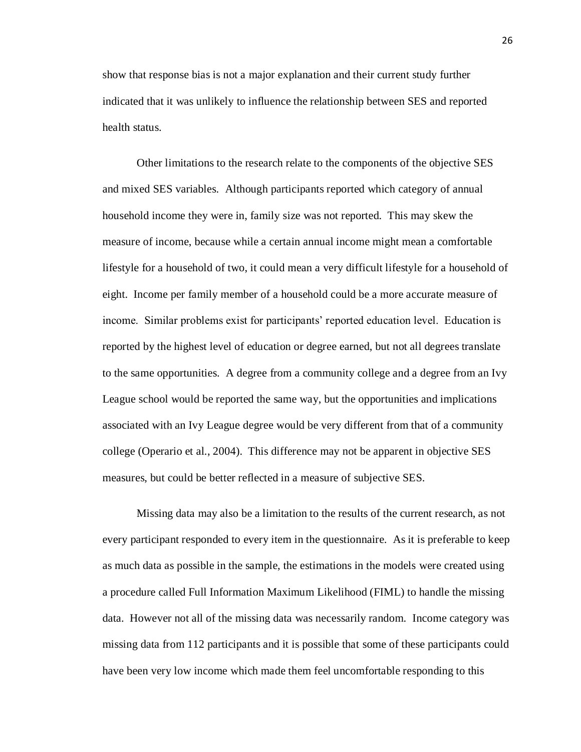show that response bias is not a major explanation and their current study further indicated that it was unlikely to influence the relationship between SES and reported health status.

Other limitations to the research relate to the components of the objective SES and mixed SES variables. Although participants reported which category of annual household income they were in, family size was not reported. This may skew the measure of income, because while a certain annual income might mean a comfortable lifestyle for a household of two, it could mean a very difficult lifestyle for a household of eight. Income per family member of a household could be a more accurate measure of income. Similar problems exist for participants' reported education level. Education is reported by the highest level of education or degree earned, but not all degrees translate to the same opportunities. A degree from a community college and a degree from an Ivy League school would be reported the same way, but the opportunities and implications associated with an Ivy League degree would be very different from that of a community college (Operario et al., 2004). This difference may not be apparent in objective SES measures, but could be better reflected in a measure of subjective SES.

Missing data may also be a limitation to the results of the current research, as not every participant responded to every item in the questionnaire. As it is preferable to keep as much data as possible in the sample, the estimations in the models were created using a procedure called Full Information Maximum Likelihood (FIML) to handle the missing data. However not all of the missing data was necessarily random. Income category was missing data from 112 participants and it is possible that some of these participants could have been very low income which made them feel uncomfortable responding to this

26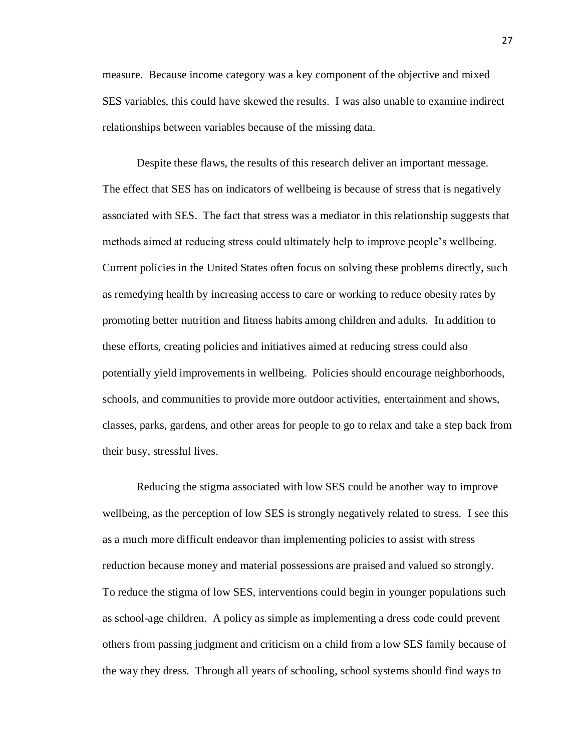measure. Because income category was a key component of the objective and mixed SES variables, this could have skewed the results. I was also unable to examine indirect relationships between variables because of the missing data.

Despite these flaws, the results of this research deliver an important message. The effect that SES has on indicators of wellbeing is because of stress that is negatively associated with SES. The fact that stress was a mediator in this relationship suggests that methods aimed at reducing stress could ultimately help to improve people's wellbeing. Current policies in the United States often focus on solving these problems directly, such as remedying health by increasing access to care or working to reduce obesity rates by promoting better nutrition and fitness habits among children and adults. In addition to these efforts, creating policies and initiatives aimed at reducing stress could also potentially yield improvements in wellbeing. Policies should encourage neighborhoods, schools, and communities to provide more outdoor activities, entertainment and shows, classes, parks, gardens, and other areas for people to go to relax and take a step back from their busy, stressful lives.

Reducing the stigma associated with low SES could be another way to improve wellbeing, as the perception of low SES is strongly negatively related to stress. I see this as a much more difficult endeavor than implementing policies to assist with stress reduction because money and material possessions are praised and valued so strongly. To reduce the stigma of low SES, interventions could begin in younger populations such as school-age children. A policy as simple as implementing a dress code could prevent others from passing judgment and criticism on a child from a low SES family because of the way they dress. Through all years of schooling, school systems should find ways to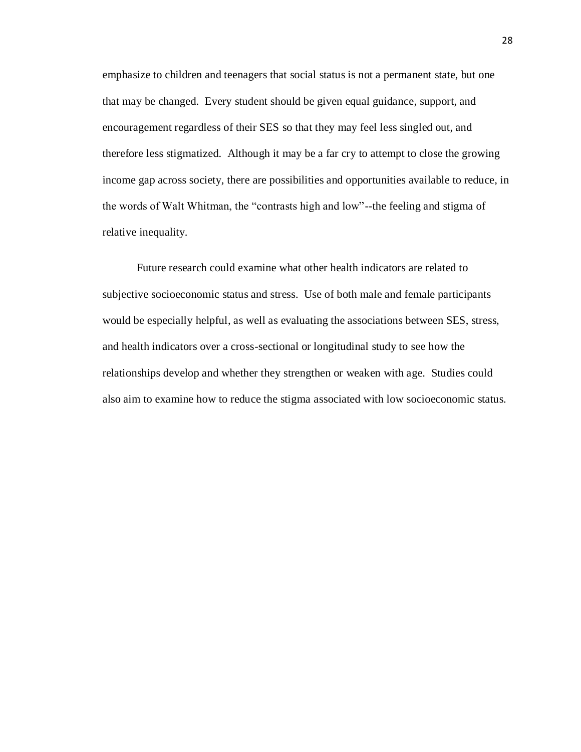emphasize to children and teenagers that social status is not a permanent state, but one that may be changed. Every student should be given equal guidance, support, and encouragement regardless of their SES so that they may feel less singled out, and therefore less stigmatized. Although it may be a far cry to attempt to close the growing income gap across society, there are possibilities and opportunities available to reduce, in the words of Walt Whitman, the "contrasts high and low"--the feeling and stigma of relative inequality.

Future research could examine what other health indicators are related to subjective socioeconomic status and stress. Use of both male and female participants would be especially helpful, as well as evaluating the associations between SES, stress, and health indicators over a cross-sectional or longitudinal study to see how the relationships develop and whether they strengthen or weaken with age. Studies could also aim to examine how to reduce the stigma associated with low socioeconomic status.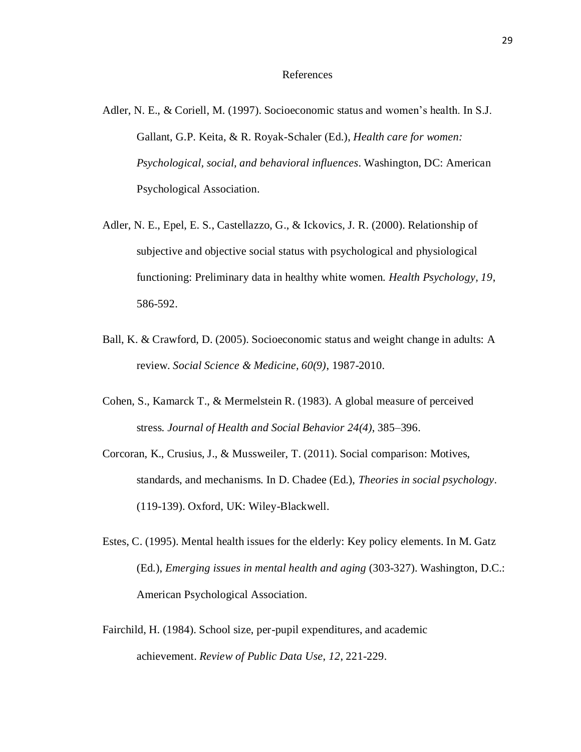#### References

- Adler, N. E., & Coriell, M. (1997). Socioeconomic status and women's health. In S.J. Gallant, G.P. Keita, & R. Royak-Schaler (Ed.), *Health care for women: Psychological, social, and behavioral influences*. Washington, DC: American Psychological Association.
- Adler, N. E., Epel, E. S., Castellazzo, G., & Ickovics, J. R. (2000). Relationship of subjective and objective social status with psychological and physiological functioning: Preliminary data in healthy white women. *Health Psychology, 19*, 586-592.
- Ball, K. & Crawford, D. (2005). Socioeconomic status and weight change in adults: A review. *Social Science & Medicine, 60(9)*, 1987-2010.
- Cohen, S., Kamarck T., & Mermelstein R. (1983). A global measure of perceived stress. *Journal of Health and Social Behavior 24(4)*, 385–396.
- Corcoran, K., Crusius, J., & Mussweiler, T. (2011). Social comparison: Motives, standards, and mechanisms. In D. Chadee (Ed.), *Theories in social psychology.* (119-139). Oxford, UK: Wiley-Blackwell.
- Estes, C. (1995). Mental health issues for the elderly: Key policy elements. In M. Gatz (Ed.), *Emerging issues in mental health and aging* (303-327). Washington, D.C.: American Psychological Association.
- Fairchild, H. (1984). School size, per-pupil expenditures, and academic achievement. *Review of Public Data Use*, *12*, 221-229.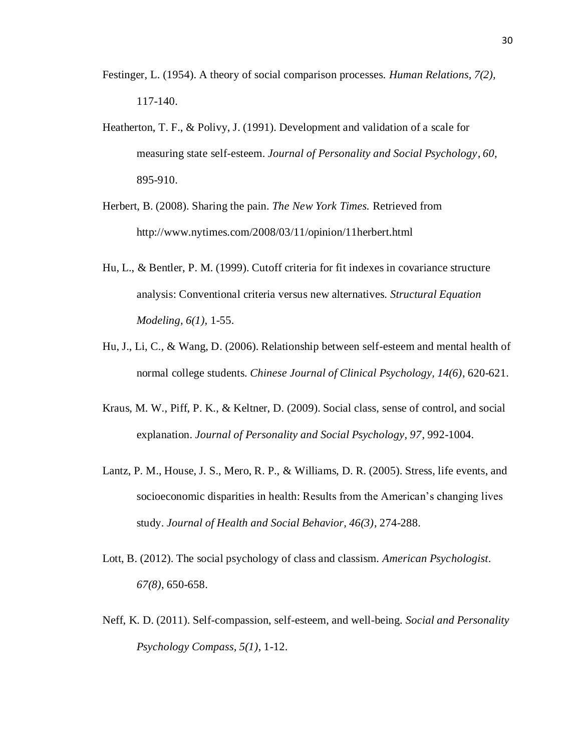- Festinger, L. (1954). A theory of social comparison processes. *Human Relations, 7(2),* 117-140.
- Heatherton, T. F., & Polivy, J. (1991). Development and validation of a scale for measuring state self-esteem. *Journal of Personality and Social Psychology, 60,* 895-910.
- Herbert, B. (2008). Sharing the pain. *The New York Times.* Retrieved from <http://www.nytimes.com/2008/03/11/opinion/11herbert.html>
- Hu, L., & Bentler, P. M. (1999). Cutoff criteria for fit indexes in covariance structure analysis: Conventional criteria versus new alternatives. *Structural Equation Modeling, 6(1),* 1-55.
- Hu, J., Li, C., & Wang, D. (2006). Relationship between self-esteem and mental health of normal college students. *Chinese Journal of Clinical Psychology, 14(6)*, 620-621.
- Kraus, M. W., Piff, P. K., & Keltner, D. (2009). Social class, sense of control, and social explanation. *Journal of Personality and Social Psychology, 97*, 992-1004.
- Lantz, P. M., House, J. S., Mero, R. P., & Williams, D. R. (2005). Stress, life events, and socioeconomic disparities in health: Results from the American's changing lives study. *Journal of Health and Social Behavior, 46(3)*, 274-288.
- Lott, B. (2012). The social psychology of class and classism. *American Psychologist*. *67(8)*, 650-658.
- Neff, K. D. (2011). Self-compassion, self-esteem, and well-being. *Social and Personality Psychology Compass, 5(1)*, 1-12.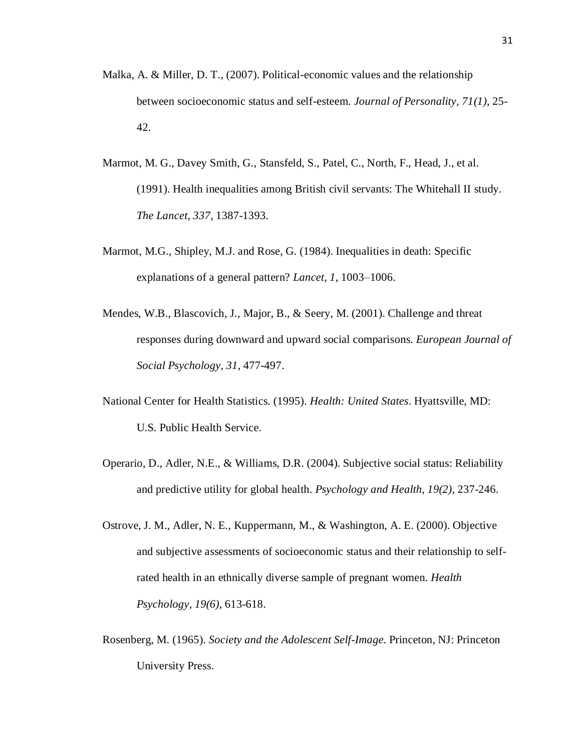- Malka, A. & Miller, D. T., (2007). Political-economic values and the relationship between socioeconomic status and self-esteem. *Journal of Personality, 71(1)*, 25- 42.
- Marmot, M. G., Davey Smith, G., Stansfeld, S., Patel, C., North, F., Head, J., et al. (1991). Health inequalities among British civil servants: The Whitehall II study. *The Lancet*, *337*, 1387-1393.
- Marmot, M.G., Shipley, M.J. and Rose, G. (1984). Inequalities in death: Specific explanations of a general pattern? *Lancet, 1*, 1003–1006.
- Mendes, W.B., Blascovich, J., Major, B., & Seery, M. (2001). Challenge and threat responses during downward and upward social comparisons. *European Journal of Social Psychology, 31*, 477-497.
- National Center for Health Statistics. (1995). *Health: United States*. Hyattsville, MD: U.S. Public Health Service.
- Operario, D., Adler, N.E., & Williams, D.R. (2004). Subjective social status: Reliability and predictive utility for global health. *Psychology and Health, 19(2)*, 237-246.
- Ostrove, J. M., Adler, N. E., Kuppermann, M., & Washington, A. E. (2000). Objective and subjective assessments of socioeconomic status and their relationship to selfrated health in an ethnically diverse sample of pregnant women. *Health Psychology, 19(6)*, 613-618.
- Rosenberg, M. (1965). *Society and the Adolescent Self-Image.* Princeton, NJ: Princeton University Press.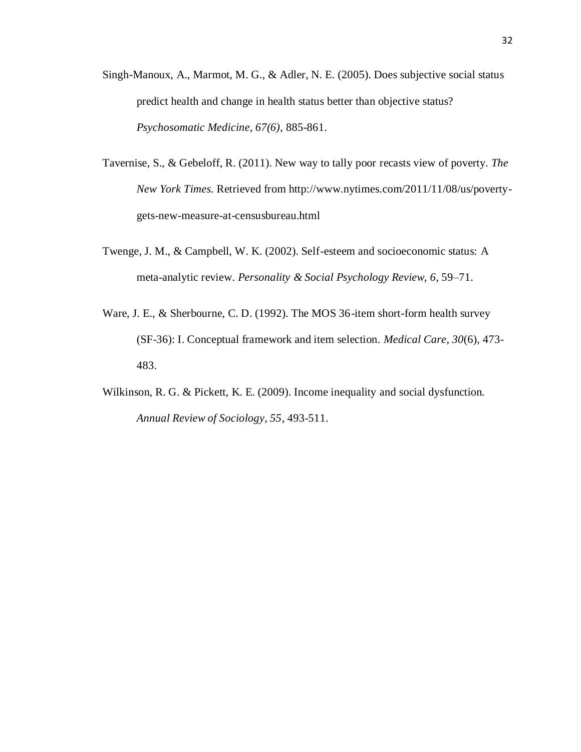- Singh-Manoux, A., Marmot, M. G., & Adler, N. E. (2005). Does subjective social status predict health and change in health status better than objective status? *Psychosomatic Medicine, 67(6)*, 885-861.
- Tavernise, S., & Gebeloff, R. (2011). New way to tally poor recasts view of poverty. *The New York Times.* Retrieved from http://www.nytimes.com/2011/11/08/us/povertygets-new-measure-at-censusbureau.html
- Twenge, J. M., & Campbell, W. K. (2002). Self-esteem and socioeconomic status: A meta-analytic review. *Personality & Social Psychology Review, 6*, 59–71.
- Ware, J. E., & Sherbourne, C. D. (1992). The MOS 36-item short-form health survey (SF-36): I. Conceptual framework and item selection. *Medical Care*, *30*(6), 473- 483.
- Wilkinson, R. G. & Pickett, K. E. (2009). Income inequality and social dysfunction. *Annual Review of Sociology, 55*, 493-511.